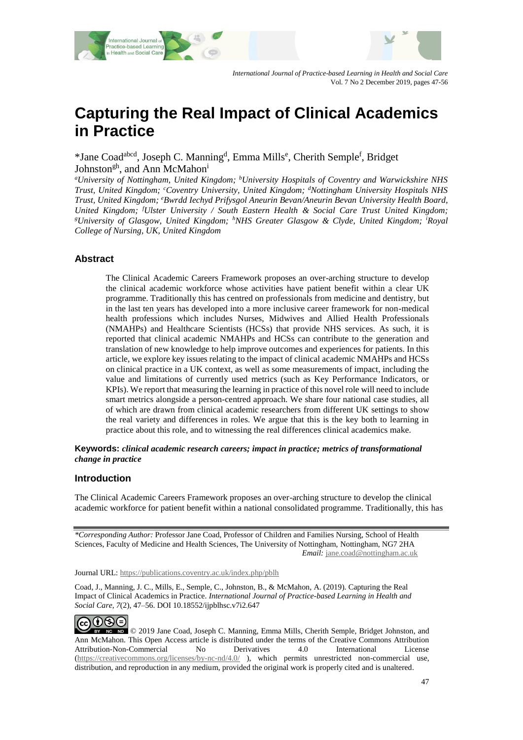

*International Journal of Practice-based Learning in Health and Social Care* Vol. 7 No 2 December 2019, pages 47-56

# **Capturing the Real Impact of Clinical Academics in Practice**

\*Jane Coad<sup>abcd</sup>, Joseph C. Manning<sup>d</sup>, Emma Mills<sup>e</sup>, Cherith Semple<sup>f</sup>, Bridget Johnston<sup>gh</sup>, and Ann McMahon<sup>i</sup>

*<sup>a</sup>University of Nottingham, United Kingdom; <sup>b</sup>University Hospitals of Coventry and Warwickshire NHS Trust, United Kingdom; <sup>c</sup>Coventry University, United Kingdom; <sup>d</sup>Nottingham University Hospitals NHS Trust, United Kingdom; <sup>e</sup>Bwrdd Iechyd Prifysgol Aneurin Bevan/Aneurin Bevan University Health Board, United Kingdom; <sup>f</sup>Ulster University / South Eastern Health & Social Care Trust United Kingdom; <sup>g</sup>University of Glasgow, United Kingdom; <sup>h</sup>NHS Greater Glasgow & Clyde, United Kingdom; <sup>i</sup>Royal College of Nursing, UK, United Kingdom*

#### **Abstract**

The Clinical Academic Careers Framework proposes an over-arching structure to develop the clinical academic workforce whose activities have patient benefit within a clear UK programme. Traditionally this has centred on professionals from medicine and dentistry, but in the last ten years has developed into a more inclusive career framework for non-medical health professions which includes Nurses, Midwives and Allied Health Professionals (NMAHPs) and Healthcare Scientists (HCSs) that provide NHS services. As such, it is reported that clinical academic NMAHPs and HCSs can contribute to the generation and translation of new knowledge to help improve outcomes and experiences for patients. In this article, we explore key issues relating to the impact of clinical academic NMAHPs and HCSs on clinical practice in a UK context, as well as some measurements of impact, including the value and limitations of currently used metrics (such as Key Performance Indicators, or KPIs). We report that measuring the learning in practice of this novel role will need to include smart metrics alongside a person-centred approach. We share four national case studies, all of which are drawn from clinical academic researchers from different UK settings to show the real variety and differences in roles. We argue that this is the key both to learning in practice about this role, and to witnessing the real differences clinical academics make.

**Keywords:** *clinical academic research careers; impact in practice; metrics of transformational change in practice*

#### **Introduction**

The Clinical Academic Careers Framework proposes an over-arching structure to develop the clinical academic workforce for patient benefit within a national consolidated programme. Traditionally, this has

*\*Corresponding Author:* Professor Jane Coad, Professor of Children and Families Nursing, School of Health Sciences, Faculty of Medicine and Health Sciences, The University of Nottingham, Nottingham, NG7 2HA *Email:* [jane.coad@nottingham.ac.uk](mailto:jane.coad@nottingham.ac.uk)

Journal URL: https://publications.coventry.ac.uk/index.php/pblh

Coad, J., Manning, J. C., Mills, E., Semple, C., Johnston, B., & McMahon, A. (2019). Capturing the Real Impact of Clinical Academics in Practice. *International Journal of Practice-based Learning in Health and Social Care*, *7*(2), 47–56. DOI 10.18552/ijpblhsc.v7i2.647

ெ⊕ை EY NC ND © 2019 Jane Coad, Joseph C. Manning, Emma Mills, Cherith Semple, Bridget Johnston, and Ann McMahon. This Open Access article is distributed under the terms of the Creative Commons Attribution Attribution-Non-Commercial No Derivatives 4.0 International License [\(https://creativecommons.org/licenses/by-nc-nd/4.0/](https://creativecommons.org/licenses/by-nc-nd/4.0/) ), which permits unrestricted non-commercial use, distribution, and reproduction in any medium, provided the original work is properly cited and is unaltered.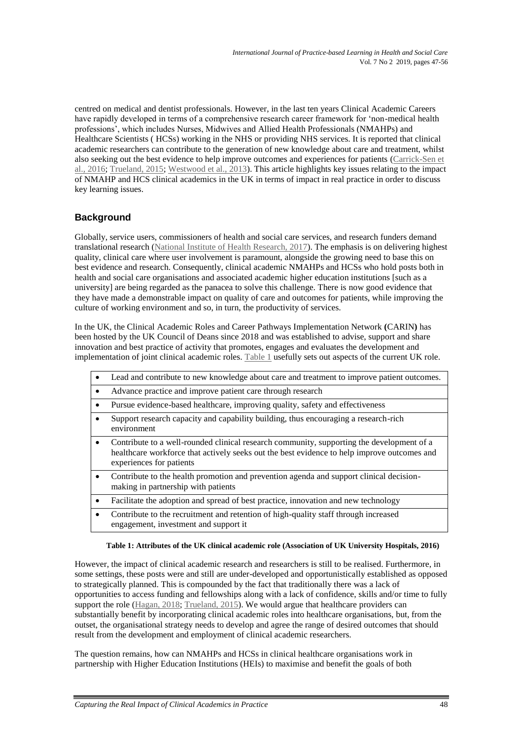centred on medical and dentist professionals. However, in the last ten years Clinical Academic Careers have rapidly developed in terms of a comprehensive research career framework for 'non-medical health professions', which includes Nurses, Midwives and Allied Health Professionals (NMAHPs) and Healthcare Scientists ( HCSs) working in the NHS or providing NHS services. It is reported that clinical academic researchers can contribute to the generation of new knowledge about care and treatment, whilst also seeking out the best evidence to help improve outcomes and experiences for patients [\(Carrick-Sen et](#page-8-0)  al., [2016;](#page-8-0) [Trueland, 2015;](#page-9-0) [Westwood et al., 2013\)](#page-9-1). This article highlights key issues relating to the impact of NMAHP and HCS clinical academics in the UK in terms of impact in real practice in order to discuss key learning issues.

# **Background**

Globally, service users, commissioners of health and social care services, and research funders demand translational research [\(National Institute of Health Research, 2017\)](#page-9-2). The emphasis is on delivering highest quality, clinical care where user involvement is paramount, alongside the growing need to base this on best evidence and research. Consequently, clinical academic NMAHPs and HCSs who hold posts both in health and social care organisations and associated academic higher education institutions [such as a university] are being regarded as the panacea to solve this challenge. There is now good evidence that they have made a demonstrable impact on quality of care and outcomes for patients, while improving the culture of working environment and so, in turn, the productivity of services.

In the UK, the Clinical Academic Roles and Career Pathways Implementation Network **(**CARIN**)** has been hosted by the UK Council of Deans since 2018 and was established to advise, support and share innovation and best practice of activity that promotes, engages and evaluates the development and implementation of joint clinical academic roles[. Table 1](#page-1-0) usefully sets out aspects of the current UK role.

|           | Lead and contribute to new knowledge about care and treatment to improve patient outcomes.                                                                                                                           |
|-----------|----------------------------------------------------------------------------------------------------------------------------------------------------------------------------------------------------------------------|
| $\bullet$ | Advance practice and improve patient care through research                                                                                                                                                           |
| $\bullet$ | Pursue evidence-based healthcare, improving quality, safety and effectiveness                                                                                                                                        |
| $\bullet$ | Support research capacity and capability building, thus encouraging a research-rich<br>environment                                                                                                                   |
|           | Contribute to a well-rounded clinical research community, supporting the development of a<br>healthcare workforce that actively seeks out the best evidence to help improve outcomes and<br>experiences for patients |
|           | Contribute to the health promotion and prevention agenda and support clinical decision-<br>making in partnership with patients                                                                                       |
| $\bullet$ | Facilitate the adoption and spread of best practice, innovation and new technology                                                                                                                                   |
| ٠         | Contribute to the recruitment and retention of high-quality staff through increased<br>engagement, investment and support it                                                                                         |

#### **Table 1: Attributes of the UK clinical academic role (Association of UK University Hospitals, 2016)**

<span id="page-1-0"></span>However, the impact of clinical academic research and researchers is still to be realised. Furthermore, in some settings, these posts were and still are under-developed and opportunistically established as opposed to strategically planned. This is compounded by the fact that traditionally there was a lack of opportunities to access funding and fellowships along with a lack of confidence, skills and/or time to fully support the role [\(Hagan, 2018;](#page-8-1) [Trueland, 2015\)](#page-9-0). We would argue that healthcare providers can substantially benefit by incorporating clinical academic roles into healthcare organisations, but, from the outset, the organisational strategy needs to develop and agree the range of desired outcomes that should result from the development and employment of clinical academic researchers.

The question remains, how can NMAHPs and HCSs in clinical healthcare organisations work in partnership with Higher Education Institutions (HEIs) to maximise and benefit the goals of both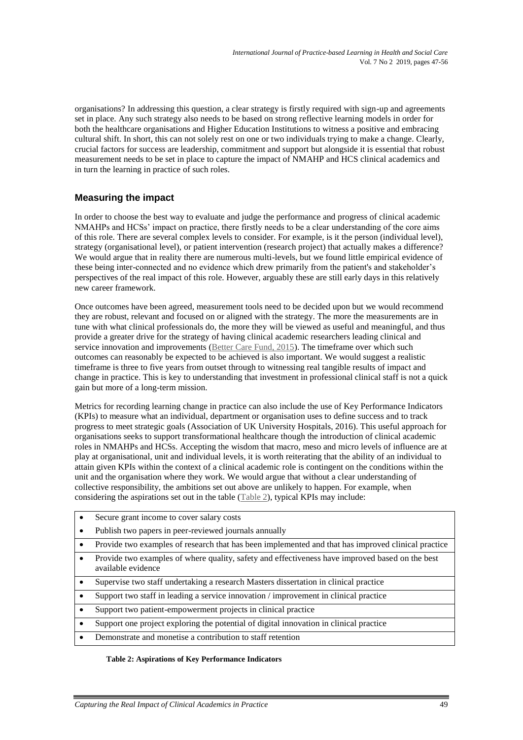organisations? In addressing this question, a clear strategy is firstly required with sign-up and agreements set in place. Any such strategy also needs to be based on strong reflective learning models in order for both the healthcare organisations and Higher Education Institutions to witness a positive and embracing cultural shift. In short, this can not solely rest on one or two individuals trying to make a change. Clearly, crucial factors for success are leadership, commitment and support but alongside it is essential that robust measurement needs to be set in place to capture the impact of NMAHP and HCS clinical academics and in turn the learning in practice of such roles.

# **Measuring the impact**

In order to choose the best way to evaluate and judge the performance and progress of clinical academic NMAHPs and HCSs' impact on practice, there firstly needs to be a clear understanding of the core aims of this role. There are several complex levels to consider. For example, is it the person (individual level), strategy (organisational level), or patient intervention (research project) that actually makes a difference? We would argue that in reality there are numerous multi-levels, but we found little empirical evidence of these being inter-connected and no evidence which drew primarily from the patient's and stakeholder's perspectives of the real impact of this role. However, arguably these are still early days in this relatively new career framework.

Once outcomes have been agreed, measurement tools need to be decided upon but we would recommend they are robust, relevant and focused on or aligned with the strategy. The more the measurements are in tune with what clinical professionals do, the more they will be viewed as useful and meaningful, and thus provide a greater drive for the strategy of having clinical academic researchers leading clinical and service innovation and improvements [\(Better Care Fund, 2015\)](#page-8-2). The timeframe over which such outcomes can reasonably be expected to be achieved is also important. We would suggest a realistic timeframe is three to five years from outset through to witnessing real tangible results of impact and change in practice. This is key to understanding that investment in professional clinical staff is not a quick gain but more of a long-term mission.

Metrics for recording learning change in practice can also include the use of Key Performance Indicators (KPIs) to measure what an individual, department or organisation uses to define success and to track progress to meet strategic goals (Association of UK University Hospitals, 2016). This useful approach for organisations seeks to support transformational healthcare though the introduction of clinical academic roles in NMAHPs and HCSs. Accepting the wisdom that macro, meso and micro levels of influence are at play at organisational, unit and individual levels, it is worth reiterating that the ability of an individual to attain given KPIs within the context of a clinical academic role is contingent on the conditions within the unit and the organisation where they work. We would argue that without a clear understanding of collective responsibility, the ambitions set out above are unlikely to happen. For example, when considering the aspirations set out in the table [\(Table 2\)](#page-2-0), typical KPIs may include:

- Secure grant income to cover salary costs
- Publish two papers in peer-reviewed journals annually
- Provide two examples of research that has been implemented and that has improved clinical practice
- Provide two examples of where quality, safety and effectiveness have improved based on the best available evidence
- Supervise two staff undertaking a research Masters dissertation in clinical practice
- Support two staff in leading a service innovation / improvement in clinical practice
- Support two patient-empowerment projects in clinical practice
- Support one project exploring the potential of digital innovation in clinical practice
- <span id="page-2-0"></span>Demonstrate and monetise a contribution to staff retention

#### **Table 2: Aspirations of Key Performance Indicators**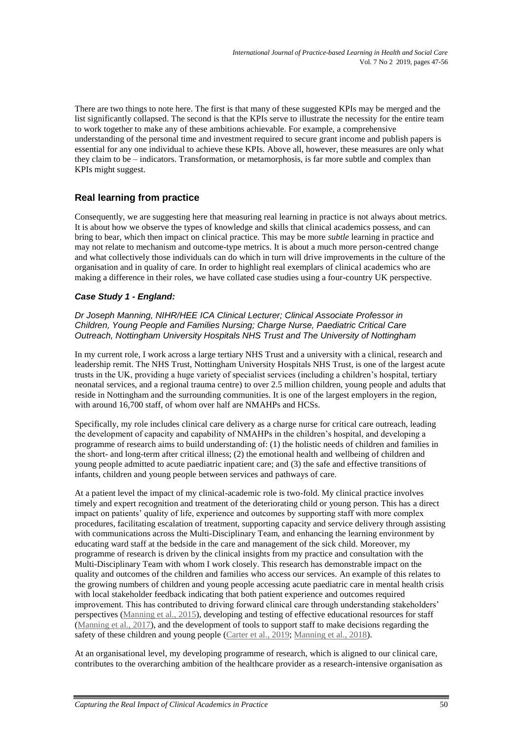There are two things to note here. The first is that many of these suggested KPIs may be merged and the list significantly collapsed. The second is that the KPIs serve to illustrate the necessity for the entire team to work together to make any of these ambitions achievable. For example, a comprehensive understanding of the personal time and investment required to secure grant income and publish papers is essential for any one individual to achieve these KPIs. Above all, however, these measures are only what they claim to be – indicators. Transformation, or metamorphosis, is far more subtle and complex than KPIs might suggest.

# **Real learning from practice**

Consequently, we are suggesting here that measuring real learning in practice is not always about metrics. It is about how we observe the types of knowledge and skills that clinical academics possess, and can bring to bear, which then impact on clinical practice. This may be more *subtle* learning in practice and may not relate to mechanism and outcome-type metrics. It is about a much more person-centred change and what collectively those individuals can do which in turn will drive improvements in the culture of the organisation and in quality of care. In order to highlight real exemplars of clinical academics who are making a difference in their roles, we have collated case studies using a four-country UK perspective.

# *Case Study 1 - England:*

*Dr Joseph Manning, NIHR/HEE ICA Clinical Lecturer; Clinical Associate Professor in Children, Young People and Families Nursing; Charge Nurse, Paediatric Critical Care Outreach, Nottingham University Hospitals NHS Trust and The University of Nottingham*

In my current role, I work across a large tertiary NHS Trust and a university with a clinical, research and leadership remit. The NHS Trust, Nottingham University Hospitals NHS Trust, is one of the largest acute trusts in the UK, providing a huge variety of specialist services (including a children's hospital, tertiary neonatal services, and a regional trauma centre) to over 2.5 million children, young people and adults that reside in Nottingham and the surrounding communities. It is one of the largest employers in the region, with around 16,700 staff, of whom over half are NMAHPs and HCSs.

Specifically, my role includes clinical care delivery as a charge nurse for critical care outreach, leading the development of capacity and capability of NMAHPs in the children's hospital, and developing a programme of research aims to build understanding of: (1) the holistic needs of children and families in the short- and long-term after critical illness; (2) the emotional health and wellbeing of children and young people admitted to acute paediatric inpatient care; and (3) the safe and effective transitions of infants, children and young people between services and pathways of care.

At a patient level the impact of my clinical-academic role is two-fold. My clinical practice involves timely and expert recognition and treatment of the deteriorating child or young person. This has a direct impact on patients' quality of life, experience and outcomes by supporting staff with more complex procedures, facilitating escalation of treatment, supporting capacity and service delivery through assisting with communications across the Multi-Disciplinary Team, and enhancing the learning environment by educating ward staff at the bedside in the care and management of the sick child. Moreover, my programme of research is driven by the clinical insights from my practice and consultation with the Multi-Disciplinary Team with whom I work closely. This research has demonstrable impact on the quality and outcomes of the children and families who access our services. An example of this relates to the growing numbers of children and young people accessing acute paediatric care in mental health crisis with local stakeholder feedback indicating that both patient experience and outcomes required improvement. This has contributed to driving forward clinical care through understanding stakeholders' perspectives [\(Manning et al., 2015\)](#page-8-3), developing and testing of effective educational resources for staff [\(Manning et al., 2017\)](#page-8-4), and the development of tools to support staff to make decisions regarding the safety of these children and young people (Carter [et al., 2019;](#page-8-0) [Manning et al., 2018\)](#page-9-3).

At an organisational level, my developing programme of research, which is aligned to our clinical care, contributes to the overarching ambition of the healthcare provider as a research-intensive organisation as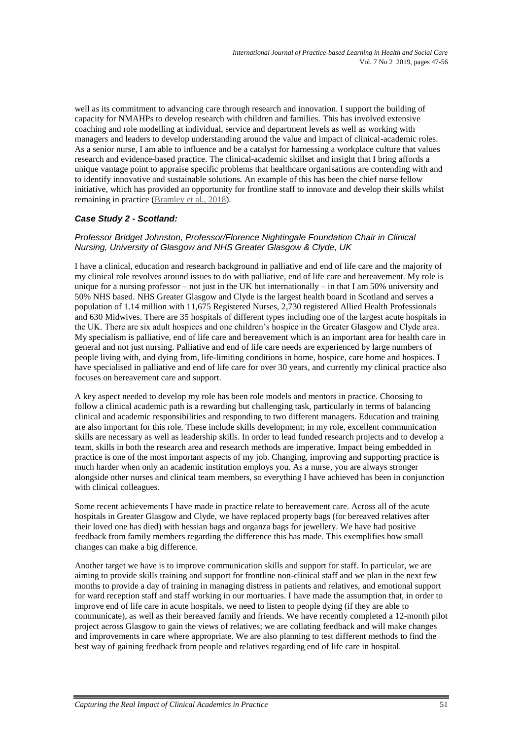well as its commitment to advancing care through research and innovation. I support the building of capacity for NMAHPs to develop research with children and families. This has involved extensive coaching and role modelling at individual, service and department levels as well as working with managers and leaders to develop understanding around the value and impact of clinical-academic roles. As a senior nurse, I am able to influence and be a catalyst for harnessing a workplace culture that values research and evidence-based practice. The clinical-academic skillset and insight that I bring affords a unique vantage point to appraise specific problems that healthcare organisations are contending with and to identify innovative and sustainable solutions. An example of this has been the chief nurse fellow initiative, which has provided an opportunity for frontline staff to innovate and develop their skills whilst remaining in practice [\(Bramley](#page-8-5) et al., 2018).

# *Case Study 2 - Scotland:*

#### *Professor Bridget Johnston, Professor/Florence Nightingale Foundation Chair in Clinical Nursing, University of Glasgow and NHS Greater Glasgow & Clyde, UK*

I have a clinical, education and research background in palliative and end of life care and the majority of my clinical role revolves around issues to do with palliative, end of life care and bereavement. My role is unique for a nursing professor – not just in the UK but internationally – in that I am 50% university and 50% NHS based. NHS Greater Glasgow and Clyde is the largest health board in Scotland and serves a population of 1.14 million with 11,675 Registered Nurses, 2,730 registered Allied Health Professionals and 630 Midwives. There are 35 hospitals of different types including one of the largest acute hospitals in the UK. There are six adult hospices and one children's hospice in the Greater Glasgow and Clyde area. My specialism is palliative, end of life care and bereavement which is an important area for health care in general and not just nursing. Palliative and end of life care needs are experienced by large numbers of people living with, and dying from, life-limiting conditions in home, hospice, care home and hospices. I have specialised in palliative and end of life care for over 30 years, and currently my clinical practice also focuses on bereavement care and support.

A key aspect needed to develop my role has been role models and mentors in practice. Choosing to follow a clinical academic path is a rewarding but challenging task, particularly in terms of balancing clinical and academic responsibilities and responding to two different managers. Education and training are also important for this role. These include skills development; in my role, excellent communication skills are necessary as well as leadership skills. In order to lead funded research projects and to develop a team, skills in both the research area and research methods are imperative. Impact being embedded in practice is one of the most important aspects of my job. Changing, improving and supporting practice is much harder when only an academic institution employs you. As a nurse, you are always stronger alongside other nurses and clinical team members, so everything I have achieved has been in conjunction with clinical colleagues.

Some recent achievements I have made in practice relate to bereavement care. Across all of the acute hospitals in Greater Glasgow and Clyde, we have replaced property bags (for bereaved relatives after their loved one has died) with hessian bags and organza bags for jewellery. We have had positive feedback from family members regarding the difference this has made. This exemplifies how small changes can make a big difference.

Another target we have is to improve communication skills and support for staff. In particular, we are aiming to provide skills training and support for frontline non-clinical staff and we plan in the next few months to provide a day of training in managing distress in patients and relatives, and emotional support for ward reception staff and staff working in our mortuaries. I have made the assumption that, in order to improve end of life care in acute hospitals, we need to listen to people dying (if they are able to communicate), as well as their bereaved family and friends. We have recently completed a 12-month pilot project across Glasgow to gain the views of relatives; we are collating feedback and will make changes and improvements in care where appropriate. We are also planning to test different methods to find the best way of gaining feedback from people and relatives regarding end of life care in hospital.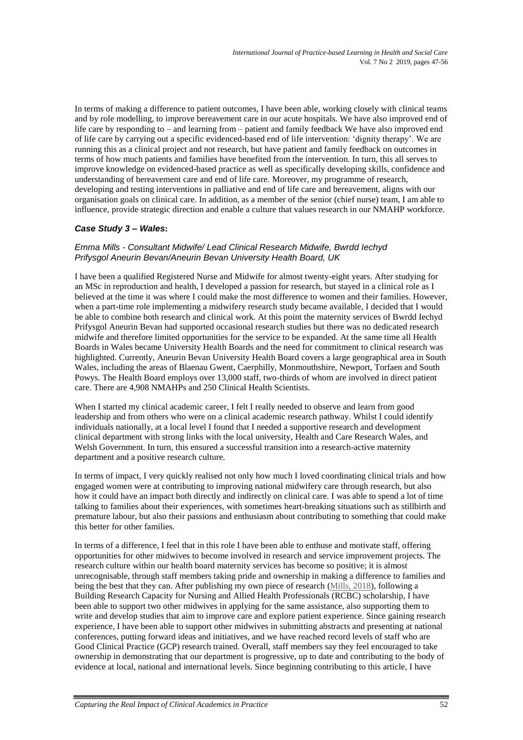In terms of making a difference to patient outcomes, I have been able, working closely with clinical teams and by role modelling, to improve bereavement care in our acute hospitals. We have also improved end of life care by responding to – and learning from – patient and family feedback We have also improved end of life care by carrying out a specific evidenced-based end of life intervention: 'dignity therapy'. We are running this as a clinical project and not research, but have patient and family feedback on outcomes in terms of how much patients and families have benefited from the intervention. In turn, this all serves to improve knowledge on evidenced-based practice as well as specifically developing skills, confidence and understanding of bereavement care and end of life care. Moreover, my programme of research, developing and testing interventions in palliative and end of life care and bereavement, aligns with our organisation goals on clinical care. In addition, as a member of the senior (chief nurse) team, I am able to influence, provide strategic direction and enable a culture that values research in our NMAHP workforce.

# *Case Study 3 – Wales***:**

#### *Emma Mills - Consultant Midwife/ Lead Clinical Research Midwife, Bwrdd Iechyd Prifysgol Aneurin Bevan/Aneurin Bevan University Health Board, UK*

I have been a qualified Registered Nurse and Midwife for almost twenty-eight years. After studying for an MSc in reproduction and health, I developed a passion for research, but stayed in a clinical role as I believed at the time it was where I could make the most difference to women and their families. However, when a part-time role implementing a midwifery research study became available, I decided that I would be able to combine both research and clinical work. At this point the maternity services of Bwrdd Iechyd Prifysgol Aneurin Bevan had supported occasional research studies but there was no dedicated research midwife and therefore limited opportunities for the service to be expanded. At the same time all Health Boards in Wales became University Health Boards and the need for commitment to clinical research was highlighted. Currently, Aneurin Bevan University Health Board covers a large geographical area in South Wales, including the areas of Blaenau Gwent, Caerphilly, Monmouthshire, Newport, Torfaen and South Powys. The Health Board employs over 13,000 staff, two-thirds of whom are involved in direct patient care. There are 4,908 NMAHPs and 250 Clinical Health Scientists.

When I started my clinical academic career, I felt I really needed to observe and learn from good leadership and from others who were on a clinical academic research pathway. Whilst I could identify individuals nationally, at a local level I found that I needed a supportive research and development clinical department with strong links with the local university, Health and Care Research Wales, and Welsh Government. In turn, this ensured a successful transition into a research-active maternity department and a positive research culture.

In terms of impact, I very quickly realised not only how much I loved coordinating clinical trials and how engaged women were at contributing to improving national midwifery care through research, but also how it could have an impact both directly and indirectly on clinical care. I was able to spend a lot of time talking to families about their experiences, with sometimes heart-breaking situations such as stillbirth and premature labour, but also their passions and enthusiasm about contributing to something that could make this better for other families.

In terms of a difference, I feel that in this role I have been able to enthuse and motivate staff, offering opportunities for other midwives to become involved in research and service improvement projects. The research culture within our health board maternity services has become so positive; it is almost unrecognisable, through staff members taking pride and ownership in making a difference to families and being the best that they can. After publishing my own piece of research [\(Mills, 2018\)](#page-9-4), following a Building Research Capacity for Nursing and Allied Health Professionals (RCBC) scholarship, I have been able to support two other midwives in applying for the same assistance, also supporting them to write and develop studies that aim to improve care and explore patient experience. Since gaining research experience, I have been able to support other midwives in submitting abstracts and presenting at national conferences, putting forward ideas and initiatives, and we have reached record levels of staff who are Good Clinical Practice (GCP) research trained. Overall, staff members say they feel encouraged to take ownership in demonstrating that our department is progressive, up to date and contributing to the body of evidence at local, national and international levels. Since beginning contributing to this article, I have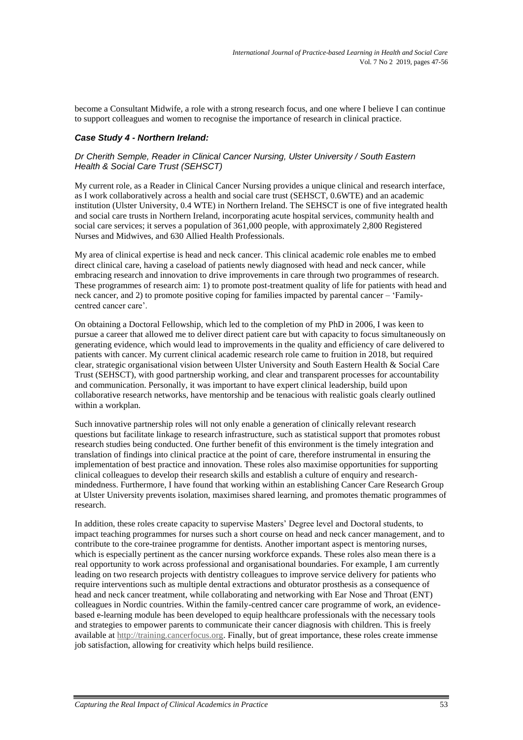become a Consultant Midwife, a role with a strong research focus, and one where I believe I can continue to support colleagues and women to recognise the importance of research in clinical practice.

#### *Case Study 4 - Northern Ireland:*

#### *Dr Cherith Semple, Reader in Clinical Cancer Nursing, Ulster University / South Eastern Health & Social Care Trust (SEHSCT)*

My current role, as a Reader in Clinical Cancer Nursing provides a unique clinical and research interface, as I work collaboratively across a health and social care trust (SEHSCT, 0.6WTE) and an academic institution (Ulster University, 0.4 WTE) in Northern Ireland. The SEHSCT is one of five integrated health and social care trusts in Northern Ireland, incorporating acute hospital services, community health and social care services; it serves a population of 361,000 people, with approximately 2,800 Registered Nurses and Midwives, and 630 Allied Health Professionals.

My area of clinical expertise is head and neck cancer. This clinical academic role enables me to embed direct clinical care, having a caseload of patients newly diagnosed with head and neck cancer, while embracing research and innovation to drive improvements in care through two programmes of research. These programmes of research aim: 1) to promote post-treatment quality of life for patients with head and neck cancer, and 2) to promote positive coping for families impacted by parental cancer – 'Familycentred cancer care'.

On obtaining a Doctoral Fellowship, which led to the completion of my PhD in 2006, I was keen to pursue a career that allowed me to deliver direct patient care but with capacity to focus simultaneously on generating evidence, which would lead to improvements in the quality and efficiency of care delivered to patients with cancer. My current clinical academic research role came to fruition in 2018, but required clear, strategic organisational vision between Ulster University and South Eastern Health & Social Care Trust (SEHSCT), with good partnership working, and clear and transparent processes for accountability and communication. Personally, it was important to have expert clinical leadership, build upon collaborative research networks, have mentorship and be tenacious with realistic goals clearly outlined within a workplan.

Such innovative partnership roles will not only enable a generation of clinically relevant research questions but facilitate linkage to research infrastructure, such as statistical support that promotes robust research studies being conducted. One further benefit of this environment is the timely integration and translation of findings into clinical practice at the point of care, therefore instrumental in ensuring the implementation of best practice and innovation. These roles also maximise opportunities for supporting clinical colleagues to develop their research skills and establish a culture of enquiry and researchmindedness. Furthermore, I have found that working within an establishing Cancer Care Research Group at Ulster University prevents isolation, maximises shared learning, and promotes thematic programmes of research.

In addition, these roles create capacity to supervise Masters' Degree level and Doctoral students, to impact teaching programmes for nurses such a short course on head and neck cancer management, and to contribute to the core-trainee programme for dentists. Another important aspect is mentoring nurses, which is especially pertinent as the cancer nursing workforce expands. These roles also mean there is a real opportunity to work across professional and organisational boundaries. For example, I am currently leading on two research projects with dentistry colleagues to improve service delivery for patients who require interventions such as multiple dental extractions and obturator prosthesis as a consequence of head and neck cancer treatment, while collaborating and networking with Ear Nose and Throat (ENT) colleagues in Nordic countries. Within the family-centred cancer care programme of work, an evidencebased e-learning module has been developed to equip healthcare professionals with the necessary tools and strategies to empower parents to communicate their cancer diagnosis with children. This is freely available at [http://training.cancerfocus.org.](http://training.cancerfocus.org/) Finally, but of great importance, these roles create immense job satisfaction, allowing for creativity which helps build resilience.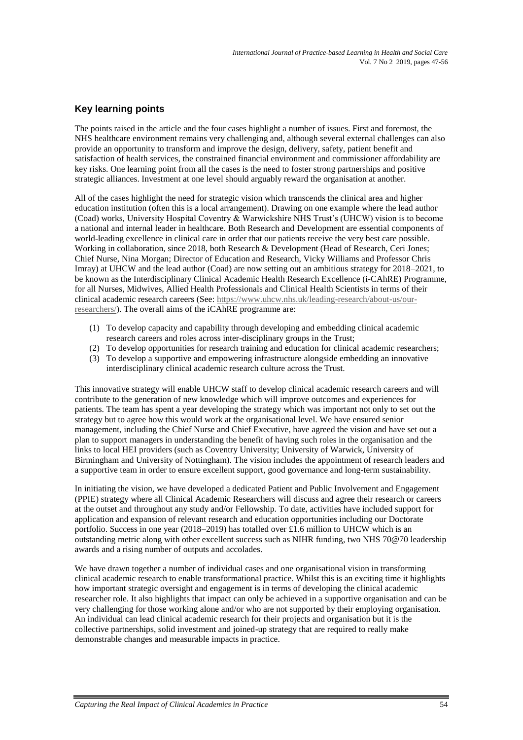# **Key learning points**

The points raised in the article and the four cases highlight a number of issues. First and foremost, the NHS healthcare environment remains very challenging and, although several external challenges can also provide an opportunity to transform and improve the design, delivery, safety, patient benefit and satisfaction of health services, the constrained financial environment and commissioner affordability are key risks. One learning point from all the cases is the need to foster strong partnerships and positive strategic alliances. Investment at one level should arguably reward the organisation at another.

All of the cases highlight the need for strategic vision which transcends the clinical area and higher education institution (often this is a local arrangement). Drawing on one example where the lead author (Coad) works, University Hospital Coventry & Warwickshire NHS Trust's (UHCW) vision is to become a national and internal leader in healthcare. Both Research and Development are essential components of world-leading excellence in clinical care in order that our patients receive the very best care possible. Working in collaboration, since 2018, both Research & Development (Head of Research, Ceri Jones; Chief Nurse, Nina Morgan; Director of Education and Research, Vicky Williams and Professor Chris Imray) at UHCW and the lead author (Coad) are now setting out an ambitious strategy for 2018–2021, to be known as the Interdisciplinary Clinical Academic Health Research Excellence (i-CAhRE) Programme, for all Nurses, Midwives, Allied Health Professionals and Clinical Health Scientists in terms of their clinical academic research careers (See: [https://www.uhcw.nhs.uk/leading-research/about-us/our](https://eur01.safelinks.protection.outlook.com/?url=https%3A%2F%2Fwww.uhcw.nhs.uk%2Fleading-research%2Fabout-us%2Four-researchers%2F&data=02%7C01%7Ccsx071%40coventry.ac.uk%7Cad17e30e6988404ac2be08d77d7c9e5e%7C4b18ab9a37654abeac7c0e0d398afd4f%7C0%7C0%7C637115846493076402&sdata=4VsrCGFyCt0sa3lWXLB5%2BX2xwVyH%2Fx7W2CFf92yAto0%3D&reserved=0)[researchers/\)](https://eur01.safelinks.protection.outlook.com/?url=https%3A%2F%2Fwww.uhcw.nhs.uk%2Fleading-research%2Fabout-us%2Four-researchers%2F&data=02%7C01%7Ccsx071%40coventry.ac.uk%7Cad17e30e6988404ac2be08d77d7c9e5e%7C4b18ab9a37654abeac7c0e0d398afd4f%7C0%7C0%7C637115846493076402&sdata=4VsrCGFyCt0sa3lWXLB5%2BX2xwVyH%2Fx7W2CFf92yAto0%3D&reserved=0). The overall aims of the iCAhRE programme are:

- (1) To develop capacity and capability through developing and embedding clinical academic research careers and roles across inter-disciplinary groups in the Trust;
- (2) To develop opportunities for research training and education for clinical academic researchers;
- (3) To develop a supportive and empowering infrastructure alongside embedding an innovative interdisciplinary clinical academic research culture across the Trust.

This innovative strategy will enable UHCW staff to develop clinical academic research careers and will contribute to the generation of new knowledge which will improve outcomes and experiences for patients. The team has spent a year developing the strategy which was important not only to set out the strategy but to agree how this would work at the organisational level. We have ensured senior management, including the Chief Nurse and Chief Executive, have agreed the vision and have set out a plan to support managers in understanding the benefit of having such roles in the organisation and the links to local HEI providers (such as Coventry University; University of Warwick, University of Birmingham and University of Nottingham). The vision includes the appointment of research leaders and a supportive team in order to ensure excellent support, good governance and long-term sustainability.

In initiating the vision, we have developed a dedicated Patient and Public Involvement and Engagement (PPIE) strategy where all Clinical Academic Researchers will discuss and agree their research or careers at the outset and throughout any study and/or Fellowship. To date, activities have included support for application and expansion of relevant research and education opportunities including our Doctorate portfolio. Success in one year (2018–2019) has totalled over £1.6 million to UHCW which is an outstanding metric along with other excellent success such as NIHR funding, two NHS 70@70 leadership awards and a rising number of outputs and accolades.

We have drawn together a number of individual cases and one organisational vision in transforming clinical academic research to enable transformational practice. Whilst this is an exciting time it highlights how important strategic oversight and engagement is in terms of developing the clinical academic researcher role. It also highlights that impact can only be achieved in a supportive organisation and can be very challenging for those working alone and/or who are not supported by their employing organisation. An individual can lead clinical academic research for their projects and organisation but it is the collective partnerships, solid investment and joined-up strategy that are required to really make demonstrable changes and measurable impacts in practice.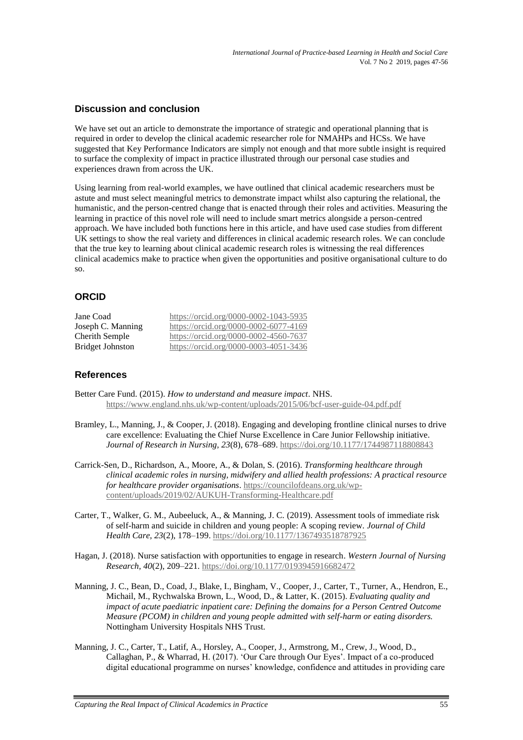## **Discussion and conclusion**

We have set out an article to demonstrate the importance of strategic and operational planning that is required in order to develop the clinical academic researcher role for NMAHPs and HCSs. We have suggested that Key Performance Indicators are simply not enough and that more subtle insight is required to surface the complexity of impact in practice illustrated through our personal case studies and experiences drawn from across the UK.

Using learning from real-world examples, we have outlined that clinical academic researchers must be astute and must select meaningful metrics to demonstrate impact whilst also capturing the relational, the humanistic, and the person-centred change that is enacted through their roles and activities. Measuring the learning in practice of this novel role will need to include smart metrics alongside a person-centred approach. We have included both functions here in this article, and have used case studies from different UK settings to show the real variety and differences in clinical academic research roles. We can conclude that the true key to learning about clinical academic research roles is witnessing the real differences clinical academics make to practice when given the opportunities and positive organisational culture to do so.

# **ORCID**

| Jane Coad               | https://orcid.org/0000-0002-1043-5935 |
|-------------------------|---------------------------------------|
| Joseph C. Manning       | https://orcid.org/0000-0002-6077-4169 |
| Cherith Semple          | https://orcid.org/0000-0002-4560-7637 |
| <b>Bridget Johnston</b> | https://orcid.org/0000-0003-4051-3436 |

## **References**

- <span id="page-8-2"></span>Better Care Fund. (2015). *How to understand and measure impact*. NHS. <https://www.england.nhs.uk/wp-content/uploads/2015/06/bcf-user-guide-04.pdf.pdf>
- <span id="page-8-5"></span>Bramley, L., Manning, J., & Cooper, J. (2018). Engaging and developing frontline clinical nurses to drive care excellence: Evaluating the Chief Nurse Excellence in Care Junior Fellowship initiative. *Journal of Research in Nursing, 23*(8), 678–689.<https://doi.org/10.1177/1744987118808843>
- <span id="page-8-0"></span>Carrick-Sen, D., Richardson, A., Moore, A., & Dolan, S. (2016). *Transforming healthcare through clinical academic roles in nursing, midwifery and allied health professions: A practical resource for healthcare provider organisations*. [https://councilofdeans.org.uk/wp](https://councilofdeans.org.uk/wp-content/uploads/2019/02/AUKUH-Transforming-Healthcare.pdf)[content/uploads/2019/02/AUKUH-Transforming-Healthcare.pdf](https://councilofdeans.org.uk/wp-content/uploads/2019/02/AUKUH-Transforming-Healthcare.pdf)
- Carter, T., Walker, G. M., Aubeeluck, A., & Manning, J. C. (2019). Assessment tools of immediate risk of self-harm and suicide in children and young people: A scoping review. *Journal of Child Health Care, 23*(2), 178–199[. https://doi.org/10.1177/1367493518787925](https://doi.org/10.1177/1367493518787925)
- <span id="page-8-1"></span>Hagan, J. (2018). Nurse satisfaction with opportunities to engage in research. *Western Journal of Nursing Research, 40*(2), 209–221. [https://doi.org/10.1177/0193945916682472](https://doi.org/10.1177%2F0193945916682472)
- <span id="page-8-3"></span>Manning, J. C., Bean, D., Coad, J., Blake, I., Bingham, V., Cooper, J., Carter, T., Turner, A., Hendron, E., Michail, M., Rychwalska Brown, L., Wood, D., & Latter, K. (2015). *Evaluating quality and impact of acute paediatric inpatient care: Defining the domains for a Person Centred Outcome Measure (PCOM) in children and young people admitted with self-harm or eating disorders.* Nottingham University Hospitals NHS Trust.
- <span id="page-8-4"></span>Manning, J. C., Carter, T., Latif, A., Horsley, A., Cooper, J., Armstrong, M., Crew, J., Wood, D., Callaghan, P., & Wharrad, H. (2017). 'Our Care through Our Eyes'. Impact of a co-produced digital educational programme on nurses' knowledge, confidence and attitudes in providing care